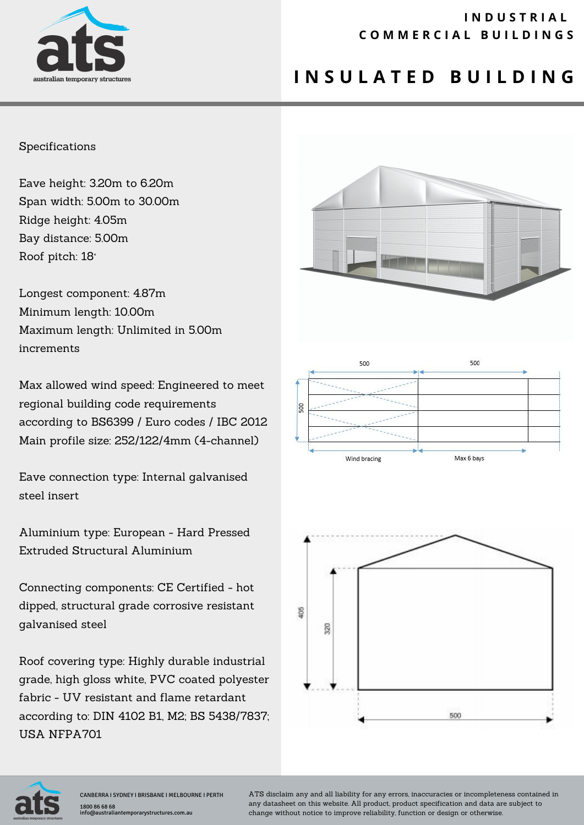

### **I N D U S T R I A L C O M M E R C I A L B U I L D I N G S**

# **I N S U L A T E D B U I L D I N G**

#### Specifications

Eave height: 3.20m to 6.20m Span width: 5.00m to 30.00m Ridge height: 4.05m Bay distance: 5.00m Roof pitch: 18°

Longest component: 4.87m Minimum length: 10.00m Maximum length: Unlimited in 5.00m increments

Max allowed wind speed: Engineered to meet regional building code requirements according to BS6399 / Euro codes / IBC 2012 Main profile size: 252/122/4mm (4-channel)

Eave connection type: Internal galvanised steel insert

Aluminium type: European - Hard Pressed Extruded Structural Aluminium

Connecting components: CE Certified - hot dipped, structural grade corrosive resistant galvanised steel

Roof covering type: Highly durable industrial grade, high gloss white, PVC coated polyester fabric - UV resistant and flame retardant according to: DIN 4102 B1, M2; BS 5438/7837; USA NFPA701









CANBERRA I SYDNEY I BRISBANE I MELBOURNE I PERTH 1800 86 68 68 info@australiantemporarystructures.com.au

ATS disclaim any and all liability for any errors, inaccuracies or incompleteness contained in any datasheet on this website. All product, product specification and data are subject to change without notice to improve reliability, function or design or otherwise.